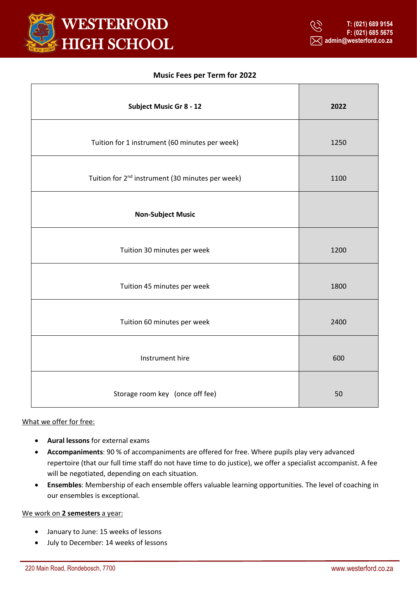

### **Music Fees per Term for 2022**

| Subject Music Gr 8 - 12                                      | 2022 |
|--------------------------------------------------------------|------|
| Tuition for 1 instrument (60 minutes per week)               | 1250 |
| Tuition for 2 <sup>nd</sup> instrument (30 minutes per week) | 1100 |
| <b>Non-Subject Music</b>                                     |      |
| Tuition 30 minutes per week                                  | 1200 |
| Tuition 45 minutes per week                                  | 1800 |
| Tuition 60 minutes per week                                  | 2400 |
| Instrument hire                                              | 600  |
| Storage room key (once off fee)                              | 50   |

# What we offer for free:

- **Aural lessons** for external exams
- **Accompaniments**: 90 % of accompaniments are offered for free. Where pupils play very advanced repertoire (that our full time staff do not have time to do justice), we offer a specialist accompanist. A fee will be negotiated, depending on each situation.
- **Ensembles**: Membership of each ensemble offers valuable learning opportunities. The level of coaching in our ensembles is exceptional.

#### We work on **2 semesters** a year:

- January to June: 15 weeks of lessons
- July to December: 14 weeks of lessons